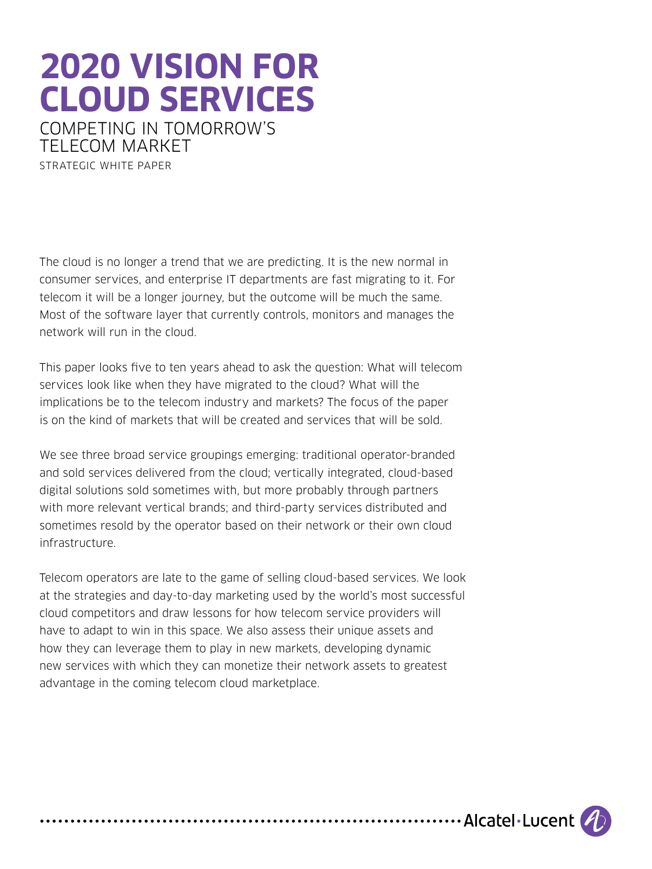# **2020 VISION FOR CLOUD SERVICES**

COMPETING IN TOMORROW'S TELECOM MARKET STRATEGIC WHITE PAPER

The cloud is no longer a trend that we are predicting. It is the new normal in consumer services, and enterprise IT departments are fast migrating to it. For telecom it will be a longer journey, but the outcome will be much the same. Most of the software layer that currently controls, monitors and manages the network will run in the cloud.

This paper looks five to ten years ahead to ask the question: What will telecom services look like when they have migrated to the cloud? What will the implications be to the telecom industry and markets? The focus of the paper is on the kind of markets that will be created and services that will be sold.

We see three broad service groupings emerging: traditional operator-branded and sold services delivered from the cloud; vertically integrated, cloud-based digital solutions sold sometimes with, but more probably through partners with more relevant vertical brands; and third-party services distributed and sometimes resold by the operator based on their network or their own cloud infrastructure.

Telecom operators are late to the game of selling cloud-based services. We look at the strategies and day-to-day marketing used by the world's most successful cloud competitors and draw lessons for how telecom service providers will have to adapt to win in this space. We also assess their unique assets and how they can leverage them to play in new markets, developing dynamic new services with which they can monetize their network assets to greatest advantage in the coming telecom cloud marketplace.

.................... Alcatel Lucent (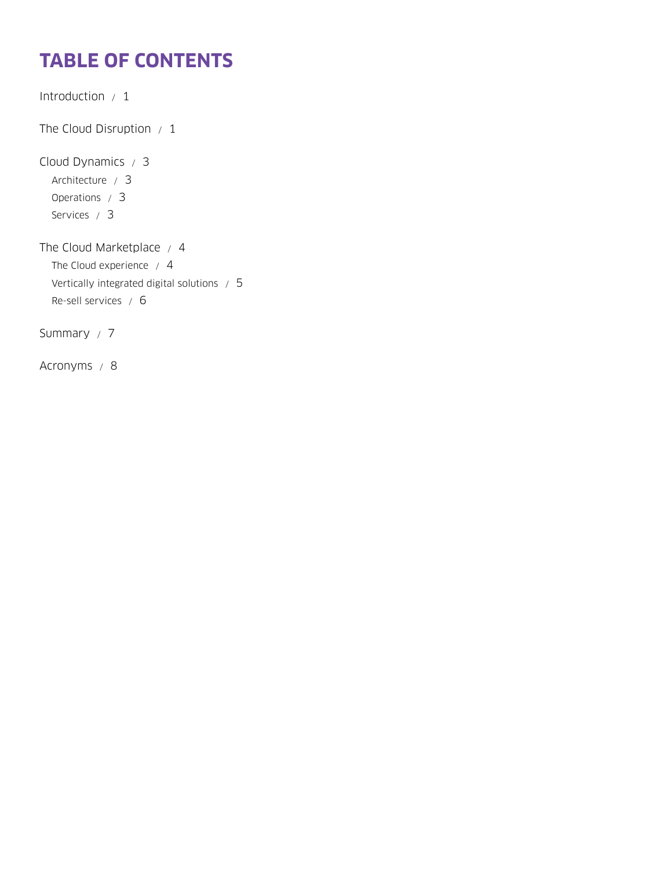# **TABLE OF CONTENTS**

[Introduction / 1](#page-2-0) The Cloud Disruption  $/1$ [Cloud Dynamics / 3](#page-4-0) [Architecture / 3](#page-4-0) [Operations / 3](#page-4-0) [Services / 3](#page-4-0) [The Cloud Marketplace / 4](#page-5-0) [The Cloud experience / 4](#page-5-0) [Vertically integrated digital solutions / 5](#page-6-0) [Re-sell services / 6](#page-7-0)

[Summary / 7](#page-8-0)

[Acronyms / 8](#page-9-0)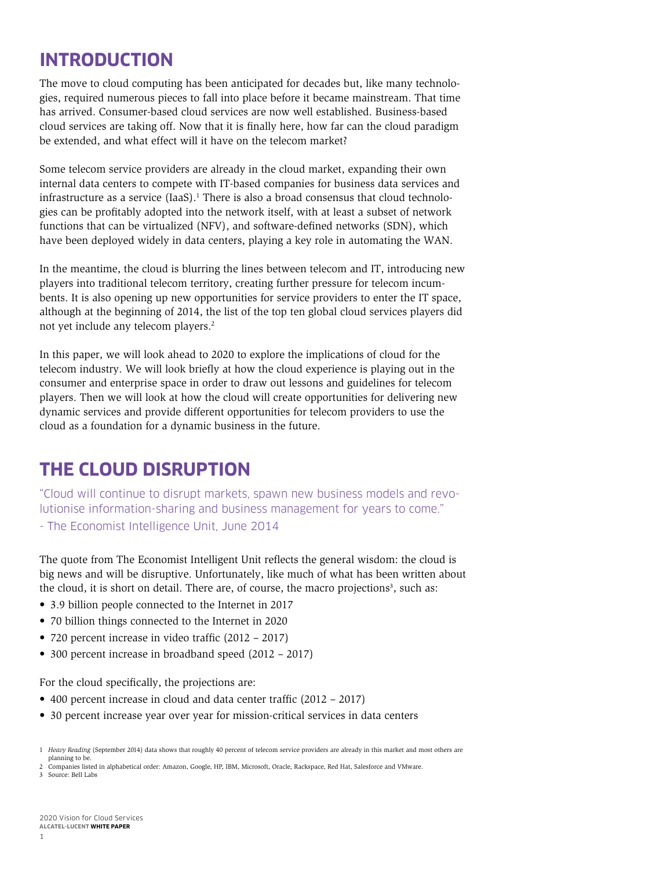## <span id="page-2-0"></span>**INTRODUCTION**

The move to cloud computing has been anticipated for decades but, like many technologies, required numerous pieces to fall into place before it became mainstream. That time has arrived. Consumer-based cloud services are now well established. Business-based cloud services are taking off. Now that it is finally here, how far can the cloud paradigm be extended, and what effect will it have on the telecom market?

Some telecom service providers are already in the cloud market, expanding their own internal data centers to compete with IT-based companies for business data services and infrastructure as a service  $(Iaas)$ .<sup>1</sup> There is also a broad consensus that cloud technologies can be profitably adopted into the network itself, with at least a subset of network functions that can be virtualized (NFV), and software-defined networks (SDN), which have been deployed widely in data centers, playing a key role in automating the WAN.

In the meantime, the cloud is blurring the lines between telecom and IT, introducing new players into traditional telecom territory, creating further pressure for telecom incumbents. It is also opening up new opportunities for service providers to enter the IT space, although at the beginning of 2014, the list of the top ten global cloud services players did not yet include any telecom players.<sup>2</sup>

In this paper, we will look ahead to 2020 to explore the implications of cloud for the telecom industry. We will look briefly at how the cloud experience is playing out in the consumer and enterprise space in order to draw out lessons and guidelines for telecom players. Then we will look at how the cloud will create opportunities for delivering new dynamic services and provide different opportunities for telecom providers to use the cloud as a foundation for a dynamic business in the future.

## **THE CLOUD DISRUPTION**

"Cloud will continue to disrupt markets, spawn new business models and revolutionise information-sharing and business management for years to come."

- The Economist Intelligence Unit, June 2014

The quote from The Economist Intelligent Unit reflects the general wisdom: the cloud is big news and will be disruptive. Unfortunately, like much of what has been written about the cloud, it is short on detail. There are, of course, the macro projections<sup>3</sup>, such as:

- 3.9 billion people connected to the Internet in 2017
- 70 billion things connected to the Internet in 2020
- 720 percent increase in video traffic (2012 2017)
- 300 percent increase in broadband speed (2012 2017)

For the cloud specifically, the projections are:

- 400 percent increase in cloud and data center traffic (2012 2017)
- 30 percent increase year over year for mission-critical services in data centers

3 Source: Bell Labs

<sup>1</sup> *Heavy Reading* (September 2014) data shows that roughly 40 percent of telecom service providers are already in this market and most others are planning to be.

<sup>2</sup> Companies listed in alphabetical order: Amazon, Google, HP, IBM, Microsoft, Oracle, Rackspace, Red Hat, Salesforce and VMware.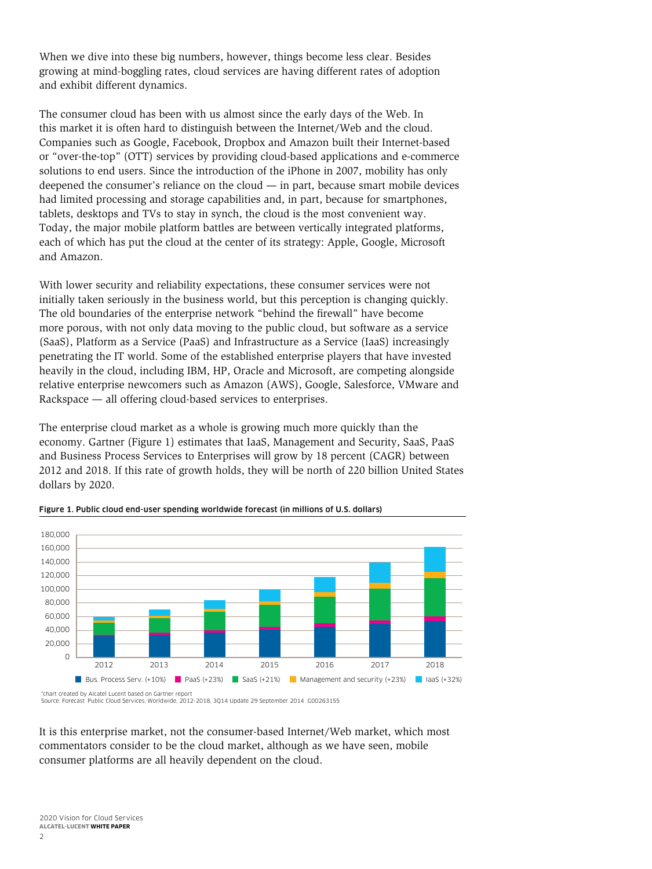When we dive into these big numbers, however, things become less clear. Besides growing at mind-boggling rates, cloud services are having different rates of adoption and exhibit different dynamics.

The consumer cloud has been with us almost since the early days of the Web. In this market it is often hard to distinguish between the Internet/Web and the cloud. Companies such as Google, Facebook, Dropbox and Amazon built their Internet-based or "over-the-top" (OTT) services by providing cloud-based applications and e-commerce solutions to end users. Since the introduction of the iPhone in 2007, mobility has only deepened the consumer's reliance on the cloud — in part, because smart mobile devices had limited processing and storage capabilities and, in part, because for smartphones, tablets, desktops and TVs to stay in synch, the cloud is the most convenient way. Today, the major mobile platform battles are between vertically integrated platforms, each of which has put the cloud at the center of its strategy: Apple, Google, Microsoft and Amazon.

With lower security and reliability expectations, these consumer services were not initially taken seriously in the business world, but this perception is changing quickly. The old boundaries of the enterprise network "behind the firewall" have become more porous, with not only data moving to the public cloud, but software as a service (SaaS), Platform as a Service (PaaS) and Infrastructure as a Service (IaaS) increasingly penetrating the IT world. Some of the established enterprise players that have invested heavily in the cloud, including IBM, HP, Oracle and Microsoft, are competing alongside relative enterprise newcomers such as Amazon (AWS), Google, Salesforce, VMware and Rackspace — all offering cloud-based services to enterprises.

The enterprise cloud market as a whole is growing much more quickly than the economy. Gartner (Figure 1) estimates that IaaS, Management and Security, SaaS, PaaS and Business Process Services to Enterprises will grow by 18 percent (CAGR) between 2012 and 2018. If this rate of growth holds, they will be north of 220 billion United States dollars by 2020.



Figure 1. Public cloud end-user spending worldwide forecast (in millions of U.S. dollars)

Source: Forecast: Public Cloud Services, Worldwide, 2012-2018, 3Q14 Update 29 September 2014 G00263155

It is this enterprise market, not the consumer-based Internet/Web market, which most commentators consider to be the cloud market, although as we have seen, mobile consumer platforms are all heavily dependent on the cloud.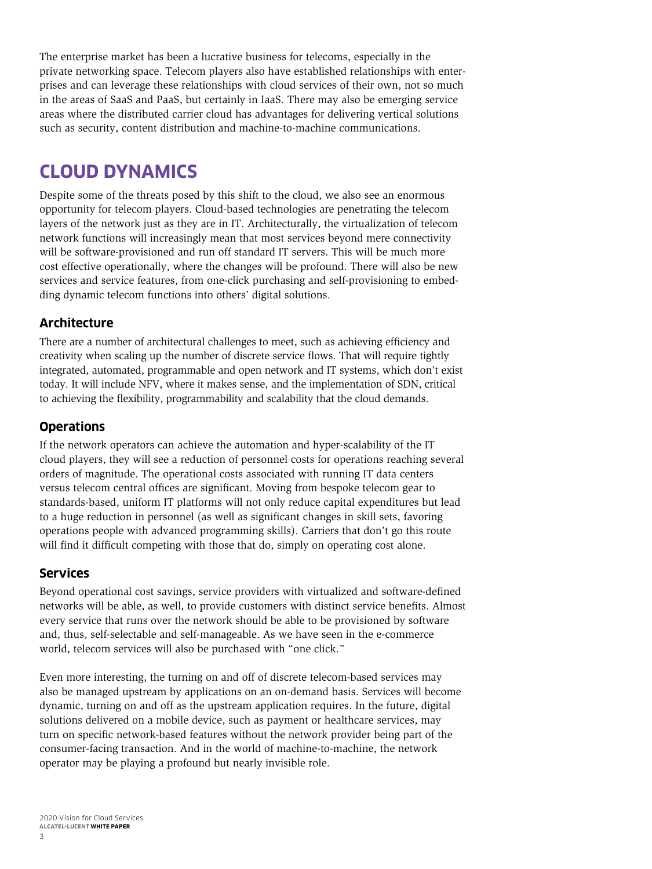<span id="page-4-0"></span>The enterprise market has been a lucrative business for telecoms, especially in the private networking space. Telecom players also have established relationships with enterprises and can leverage these relationships with cloud services of their own, not so much in the areas of SaaS and PaaS, but certainly in IaaS. There may also be emerging service areas where the distributed carrier cloud has advantages for delivering vertical solutions such as security, content distribution and machine-to-machine communications.

## **CLOUD DYNAMICS**

Despite some of the threats posed by this shift to the cloud, we also see an enormous opportunity for telecom players. Cloud-based technologies are penetrating the telecom layers of the network just as they are in IT. Architecturally, the virtualization of telecom network functions will increasingly mean that most services beyond mere connectivity will be software-provisioned and run off standard IT servers. This will be much more cost effective operationally, where the changes will be profound. There will also be new services and service features, from one-click purchasing and self-provisioning to embedding dynamic telecom functions into others' digital solutions.

#### **Architecture**

There are a number of architectural challenges to meet, such as achieving efficiency and creativity when scaling up the number of discrete service flows. That will require tightly integrated, automated, programmable and open network and IT systems, which don't exist today. It will include NFV, where it makes sense, and the implementation of SDN, critical to achieving the flexibility, programmability and scalability that the cloud demands.

#### **Operations**

If the network operators can achieve the automation and hyper-scalability of the IT cloud players, they will see a reduction of personnel costs for operations reaching several orders of magnitude. The operational costs associated with running IT data centers versus telecom central offices are significant. Moving from bespoke telecom gear to standards-based, uniform IT platforms will not only reduce capital expenditures but lead to a huge reduction in personnel (as well as significant changes in skill sets, favoring operations people with advanced programming skills). Carriers that don't go this route will find it difficult competing with those that do, simply on operating cost alone.

#### **Services**

Beyond operational cost savings, service providers with virtualized and software-defined networks will be able, as well, to provide customers with distinct service benefits. Almost every service that runs over the network should be able to be provisioned by software and, thus, self-selectable and self-manageable. As we have seen in the e-commerce world, telecom services will also be purchased with "one click."

Even more interesting, the turning on and off of discrete telecom-based services may also be managed upstream by applications on an on-demand basis. Services will become dynamic, turning on and off as the upstream application requires. In the future, digital solutions delivered on a mobile device, such as payment or healthcare services, may turn on specific network-based features without the network provider being part of the consumer-facing transaction. And in the world of machine-to-machine, the network operator may be playing a profound but nearly invisible role.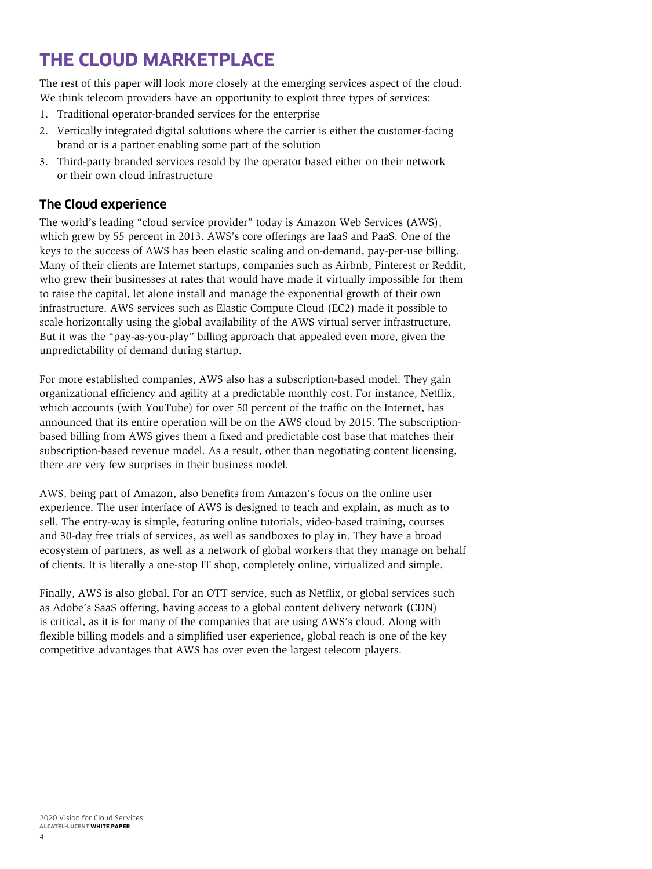## <span id="page-5-0"></span>**THE CLOUD MARKETPLACE**

The rest of this paper will look more closely at the emerging services aspect of the cloud. We think telecom providers have an opportunity to exploit three types of services:

- 1. Traditional operator-branded services for the enterprise
- 2. Vertically integrated digital solutions where the carrier is either the customer-facing brand or is a partner enabling some part of the solution
- 3. Third-party branded services resold by the operator based either on their network or their own cloud infrastructure

#### **The Cloud experience**

The world's leading "cloud service provider" today is Amazon Web Services (AWS), which grew by 55 percent in 2013. AWS's core offerings are IaaS and PaaS. One of the keys to the success of AWS has been elastic scaling and on-demand, pay-per-use billing. Many of their clients are Internet startups, companies such as Airbnb, Pinterest or Reddit, who grew their businesses at rates that would have made it virtually impossible for them to raise the capital, let alone install and manage the exponential growth of their own infrastructure. AWS services such as Elastic Compute Cloud (EC2) made it possible to scale horizontally using the global availability of the AWS virtual server infrastructure. But it was the "pay-as-you-play" billing approach that appealed even more, given the unpredictability of demand during startup.

For more established companies, AWS also has a subscription-based model. They gain organizational efficiency and agility at a predictable monthly cost. For instance, Netflix, which accounts (with YouTube) for over 50 percent of the traffic on the Internet, has announced that its entire operation will be on the AWS cloud by 2015. The subscriptionbased billing from AWS gives them a fixed and predictable cost base that matches their subscription-based revenue model. As a result, other than negotiating content licensing, there are very few surprises in their business model.

AWS, being part of Amazon, also benefits from Amazon's focus on the online user experience. The user interface of AWS is designed to teach and explain, as much as to sell. The entry-way is simple, featuring online tutorials, video-based training, courses and 30-day free trials of services, as well as sandboxes to play in. They have a broad ecosystem of partners, as well as a network of global workers that they manage on behalf of clients. It is literally a one-stop IT shop, completely online, virtualized and simple.

Finally, AWS is also global. For an OTT service, such as Netflix, or global services such as Adobe's SaaS offering, having access to a global content delivery network (CDN) is critical, as it is for many of the companies that are using AWS's cloud. Along with flexible billing models and a simplified user experience, global reach is one of the key competitive advantages that AWS has over even the largest telecom players.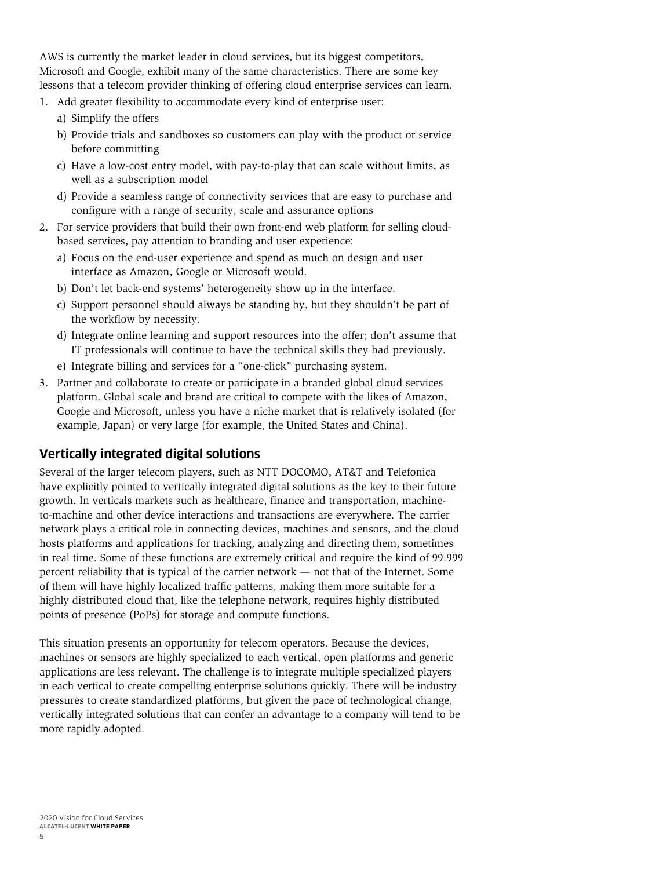<span id="page-6-0"></span>AWS is currently the market leader in cloud services, but its biggest competitors, Microsoft and Google, exhibit many of the same characteristics. There are some key lessons that a telecom provider thinking of offering cloud enterprise services can learn.

- 1. Add greater flexibility to accommodate every kind of enterprise user:
	- a) Simplify the offers
	- b) Provide trials and sandboxes so customers can play with the product or service before committing
	- c) Have a low-cost entry model, with pay-to-play that can scale without limits, as well as a subscription model
	- d) Provide a seamless range of connectivity services that are easy to purchase and configure with a range of security, scale and assurance options
- 2. For service providers that build their own front-end web platform for selling cloudbased services, pay attention to branding and user experience:
	- a) Focus on the end-user experience and spend as much on design and user interface as Amazon, Google or Microsoft would.
	- b) Don't let back-end systems' heterogeneity show up in the interface.
	- c) Support personnel should always be standing by, but they shouldn't be part of the workflow by necessity.
	- d) Integrate online learning and support resources into the offer; don't assume that IT professionals will continue to have the technical skills they had previously.
	- e) Integrate billing and services for a "one-click" purchasing system.
- 3. Partner and collaborate to create or participate in a branded global cloud services platform. Global scale and brand are critical to compete with the likes of Amazon, Google and Microsoft, unless you have a niche market that is relatively isolated (for example, Japan) or very large (for example, the United States and China).

#### **Vertically integrated digital solutions**

Several of the larger telecom players, such as NTT DOCOMO, AT&T and Telefonica have explicitly pointed to vertically integrated digital solutions as the key to their future growth. In verticals markets such as healthcare, finance and transportation, machineto-machine and other device interactions and transactions are everywhere. The carrier network plays a critical role in connecting devices, machines and sensors, and the cloud hosts platforms and applications for tracking, analyzing and directing them, sometimes in real time. Some of these functions are extremely critical and require the kind of 99.999 percent reliability that is typical of the carrier network — not that of the Internet. Some of them will have highly localized traffic patterns, making them more suitable for a highly distributed cloud that, like the telephone network, requires highly distributed points of presence (PoPs) for storage and compute functions.

This situation presents an opportunity for telecom operators. Because the devices, machines or sensors are highly specialized to each vertical, open platforms and generic applications are less relevant. The challenge is to integrate multiple specialized players in each vertical to create compelling enterprise solutions quickly. There will be industry pressures to create standardized platforms, but given the pace of technological change, vertically integrated solutions that can confer an advantage to a company will tend to be more rapidly adopted.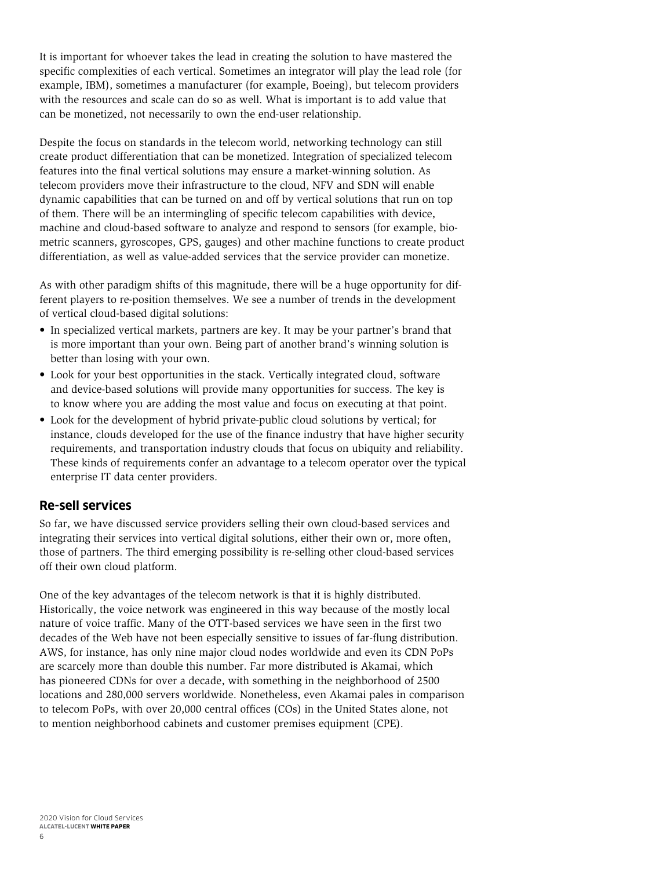<span id="page-7-0"></span>It is important for whoever takes the lead in creating the solution to have mastered the specific complexities of each vertical. Sometimes an integrator will play the lead role (for example, IBM), sometimes a manufacturer (for example, Boeing), but telecom providers with the resources and scale can do so as well. What is important is to add value that can be monetized, not necessarily to own the end-user relationship.

Despite the focus on standards in the telecom world, networking technology can still create product differentiation that can be monetized. Integration of specialized telecom features into the final vertical solutions may ensure a market-winning solution. As telecom providers move their infrastructure to the cloud, NFV and SDN will enable dynamic capabilities that can be turned on and off by vertical solutions that run on top of them. There will be an intermingling of specific telecom capabilities with device, machine and cloud-based software to analyze and respond to sensors (for example, biometric scanners, gyroscopes, GPS, gauges) and other machine functions to create product differentiation, as well as value-added services that the service provider can monetize.

As with other paradigm shifts of this magnitude, there will be a huge opportunity for different players to re-position themselves. We see a number of trends in the development of vertical cloud-based digital solutions:

- In specialized vertical markets, partners are key. It may be your partner's brand that is more important than your own. Being part of another brand's winning solution is better than losing with your own.
- Look for your best opportunities in the stack. Vertically integrated cloud, software and device-based solutions will provide many opportunities for success. The key is to know where you are adding the most value and focus on executing at that point.
- Look for the development of hybrid private-public cloud solutions by vertical; for instance, clouds developed for the use of the finance industry that have higher security requirements, and transportation industry clouds that focus on ubiquity and reliability. These kinds of requirements confer an advantage to a telecom operator over the typical enterprise IT data center providers.

#### **Re-sell services**

So far, we have discussed service providers selling their own cloud-based services and integrating their services into vertical digital solutions, either their own or, more often, those of partners. The third emerging possibility is re-selling other cloud-based services off their own cloud platform.

One of the key advantages of the telecom network is that it is highly distributed. Historically, the voice network was engineered in this way because of the mostly local nature of voice traffic. Many of the OTT-based services we have seen in the first two decades of the Web have not been especially sensitive to issues of far-flung distribution. AWS, for instance, has only nine major cloud nodes worldwide and even its CDN PoPs are scarcely more than double this number. Far more distributed is Akamai, which has pioneered CDNs for over a decade, with something in the neighborhood of 2500 locations and 280,000 servers worldwide. Nonetheless, even Akamai pales in comparison to telecom PoPs, with over 20,000 central offices (COs) in the United States alone, not to mention neighborhood cabinets and customer premises equipment (CPE).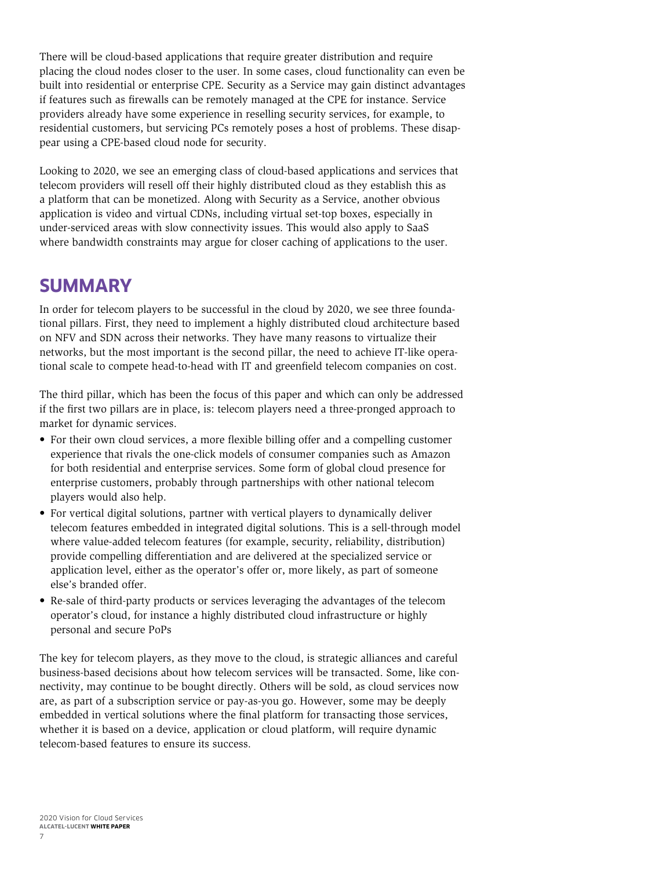<span id="page-8-0"></span>There will be cloud-based applications that require greater distribution and require placing the cloud nodes closer to the user. In some cases, cloud functionality can even be built into residential or enterprise CPE. Security as a Service may gain distinct advantages if features such as firewalls can be remotely managed at the CPE for instance. Service providers already have some experience in reselling security services, for example, to residential customers, but servicing PCs remotely poses a host of problems. These disappear using a CPE-based cloud node for security.

Looking to 2020, we see an emerging class of cloud-based applications and services that telecom providers will resell off their highly distributed cloud as they establish this as a platform that can be monetized. Along with Security as a Service, another obvious application is video and virtual CDNs, including virtual set-top boxes, especially in under-serviced areas with slow connectivity issues. This would also apply to SaaS where bandwidth constraints may argue for closer caching of applications to the user.

### **SUMMARY**

In order for telecom players to be successful in the cloud by 2020, we see three foundational pillars. First, they need to implement a highly distributed cloud architecture based on NFV and SDN across their networks. They have many reasons to virtualize their networks, but the most important is the second pillar, the need to achieve IT-like operational scale to compete head-to-head with IT and greenfield telecom companies on cost.

The third pillar, which has been the focus of this paper and which can only be addressed if the first two pillars are in place, is: telecom players need a three-pronged approach to market for dynamic services.

- For their own cloud services, a more flexible billing offer and a compelling customer experience that rivals the one-click models of consumer companies such as Amazon for both residential and enterprise services. Some form of global cloud presence for enterprise customers, probably through partnerships with other national telecom players would also help.
- For vertical digital solutions, partner with vertical players to dynamically deliver telecom features embedded in integrated digital solutions. This is a sell-through model where value-added telecom features (for example, security, reliability, distribution) provide compelling differentiation and are delivered at the specialized service or application level, either as the operator's offer or, more likely, as part of someone else's branded offer.
- Re-sale of third-party products or services leveraging the advantages of the telecom operator's cloud, for instance a highly distributed cloud infrastructure or highly personal and secure PoPs

The key for telecom players, as they move to the cloud, is strategic alliances and careful business-based decisions about how telecom services will be transacted. Some, like connectivity, may continue to be bought directly. Others will be sold, as cloud services now are, as part of a subscription service or pay-as-you go. However, some may be deeply embedded in vertical solutions where the final platform for transacting those services, whether it is based on a device, application or cloud platform, will require dynamic telecom-based features to ensure its success.